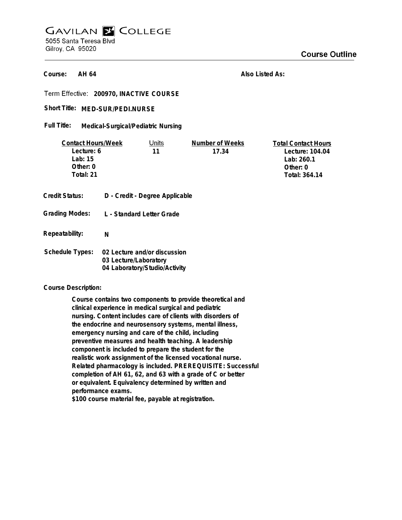## **GAVILAN E COLLEGE** 5055 Santa Teresa Blvd Gilroy, CA 95020

**AH 64 Course:**

**Also Listed As:**

**200970, INACTIVE COURSE**

Short Title: MED-SUR/PEDI.NURSE

**Medical-Surgical/Pediatric Nursing Full Title:**

| <b>Contact Hours/Week</b> |                                | Units                         | Number of Weeks | <b>Total Contact Hours</b> |
|---------------------------|--------------------------------|-------------------------------|-----------------|----------------------------|
| Lecture: 6                |                                | 11                            | 17.34           | Lecture: 104.04            |
| Lab: $15$                 |                                |                               |                 | Lab: 260.1                 |
| Other: $0$                |                                |                               |                 | Other: 0                   |
| Total: 21                 |                                |                               |                 | Total: 364.14              |
|                           |                                |                               |                 |                            |
| Credit Status:            | D - Credit - Degree Applicable |                               |                 |                            |
|                           |                                |                               |                 |                            |
| <b>Grading Modes:</b>     | L - Standard Letter Grade      |                               |                 |                            |
|                           |                                |                               |                 |                            |
| Repeatability:            | N                              |                               |                 |                            |
|                           |                                |                               |                 |                            |
| <b>Schedule Types:</b>    |                                | 02 Lecture and/or discussion  |                 |                            |
|                           | 03 Lecture/Laboratory          |                               |                 |                            |
|                           |                                | 04 Laboratory/Studio/Activity |                 |                            |

**Course Description:**

**Course contains two components to provide theoretical and clinical experience in medical surgical and pediatric nursing. Content includes care of clients with disorders of the endocrine and neurosensory systems, mental illness, emergency nursing and care of the child, including preventive measures and health teaching. A leadership component is included to prepare the student for the realistic work assignment of the licensed vocational nurse. Related pharmacology is included. PREREQUISITE: Successful completion of AH 61, 62, and 63 with a grade of C or better or equivalent. Equivalency determined by written and performance exams.**

**\$100 course material fee, payable at registration.**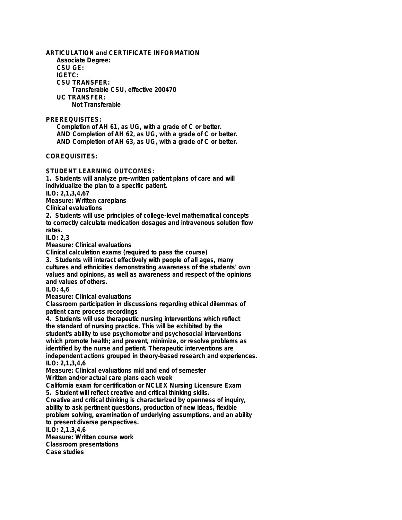**ARTICULATION and CERTIFICATE INFORMATION Associate Degree: CSU GE: IGETC: CSU TRANSFER: Transferable CSU, effective 200470 UC TRANSFER: Not Transferable**

**PREREQUISITES:**

**Completion of AH 61, as UG, with a grade of C or better. AND Completion of AH 62, as UG, with a grade of C or better. AND Completion of AH 63, as UG, with a grade of C or better.**

**COREQUISITES:**

**STUDENT LEARNING OUTCOMES:**

**1. Students will analyze pre-written patient plans of care and will individualize the plan to a specific patient.**

**ILO: 2,1,3,4,67**

**Measure: Written careplans**

**Clinical evaluations**

**2. Students will use principles of college-level mathematical concepts to correctly calculate medication dosages and intravenous solution flow rates.**

**ILO: 2,3**

**Measure: Clinical evaluations**

**Clinical calculation exams (required to pass the course)**

**3. Students will interact effectively with people of all ages, many cultures and ethnicities demonstrating awareness of the students' own values and opinions, as well as awareness and respect of the opinions and values of others.**

**ILO: 4,6**

**Measure: Clinical evaluations**

**Classroom participation in discussions regarding ethical dilemmas of patient care process recordings**

**4. Students will use therapeutic nursing interventions which reflect the standard of nursing practice. This will be exhibited by the student's ability to use psychomotor and psychosocial interventions which promote health; and prevent, minimize, or resolve problems as identified by the nurse and patient. Therapeutic interventions are independent actions grouped in theory-based research and experiences. ILO: 2,1,3,4,6**

**Measure: Clinical evaluations mid and end of semester Written and/or actual care plans each week**

**California exam for certification or NCLEX Nursing Licensure Exam 5. Student will reflect creative and critical thinking skills.**

**Creative and critical thinking is characterized by openness of inquiry, ability to ask pertinent questions, production of new ideas, flexible problem solving, examination of underlying assumptions, and an ability to present diverse perspectives.**

**ILO: 2,1,3,4,6**

**Measure: Written course work Classroom presentations Case studies**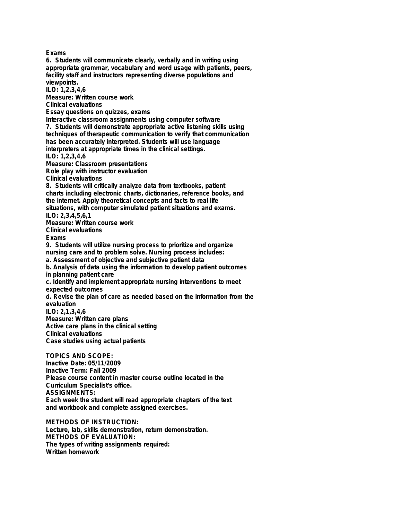**Exams 6. Students will communicate clearly, verbally and in writing using appropriate grammar, vocabulary and word usage with patients, peers, facility staff and instructors representing diverse populations and viewpoints. ILO: 1,2,3,4,6 Measure: Written course work Clinical evaluations Essay questions on quizzes, exams Interactive classroom assignments using computer software 7. Students will demonstrate appropriate active listening skills using techniques of therapeutic communication to verify that communication has been accurately interpreted. Students will use language interpreters at appropriate times in the clinical settings. ILO: 1,2,3,4,6 Measure: Classroom presentations Role play with instructor evaluation Clinical evaluations 8. Students will critically analyze data from textbooks, patient charts including electronic charts, dictionaries, reference books, and the internet. Apply theoretical concepts and facts to real life situations, with computer simulated patient situations and exams. ILO: 2,3,4,5,6,1 Measure: Written course work Clinical evaluations Exams 9. Students will utilize nursing process to prioritize and organize nursing care and to problem solve. Nursing process includes: a. Assessment of objective and subjective patient data b. Analysis of data using the information to develop patient outcomes in planning patient care c. Identify and implement appropriate nursing interventions to meet expected outcomes d. Revise the plan of care as needed based on the information from the evaluation ILO: 2,1,3,4,6 Measure: Written care plans Active care plans in the clinical setting Clinical evaluations Case studies using actual patients TOPICS AND SCOPE: Inactive Date: 05/11/2009 Inactive Term: Fall 2009 Please course content in master course outline located in the Curriculum Specialist's office. ASSIGNMENTS:**

**Each week the student will read appropriate chapters of the text and workbook and complete assigned exercises.**

**METHODS OF INSTRUCTION: Lecture, lab, skills demonstration, return demonstration. METHODS OF EVALUATION: The types of writing assignments required: Written homework**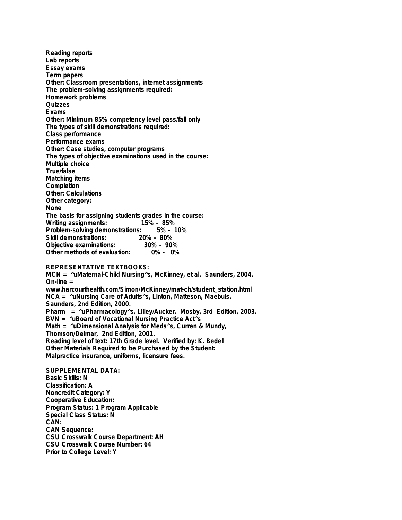**Reading reports Lab reports Essay exams Term papers Other: Classroom presentations, internet assignments The problem-solving assignments required: Homework problems Quizzes Exams Other: Minimum 85% competency level pass/fail only The types of skill demonstrations required: Class performance Performance exams Other: Case studies, computer programs The types of objective examinations used in the course: Multiple choice True/false Matching items Completion Other: Calculations Other category: None The basis for assigning students grades in the course: Writing assignments: Problem-solving demonstrations: 5% - 10% Skill demonstrations: 20% - 80% Objective examinations: 30% - 90% Other methods of evaluation: 0% - 0%**

## **REPRESENTATIVE TEXTBOOKS:**

**MCN = ^uMaternal-Child Nursing^s, McKinney, et al. Saunders, 2004. On-line = www.harcourthealth.com/Simon/McKinney/mat-ch/student\_station.html NCA = ^uNursing Care of Adults^s, Linton, Matteson, Maebuis. Saunders, 2nd Edition, 2000. Pharm = ^uPharmacology^s, Lilley/Aucker. Mosby, 3rd Edition, 2003. BVN = ^uBoard of Vocational Nursing Practice Act^s Math = ^uDimensional Analysis for Meds^s, Curren & Mundy, Thomson/Delmar, 2nd Edition, 2001. Reading level of text: 17th Grade level. Verified by: K. Bedell Other Materials Required to be Purchased by the Student: Malpractice insurance, uniforms, licensure fees.**

**SUPPLEMENTAL DATA: Basic Skills: N Classification: A Noncredit Category: Y Cooperative Education: Program Status: 1 Program Applicable Special Class Status: N CAN: CAN Sequence: CSU Crosswalk Course Department: AH CSU Crosswalk Course Number: 64 Prior to College Level: Y**